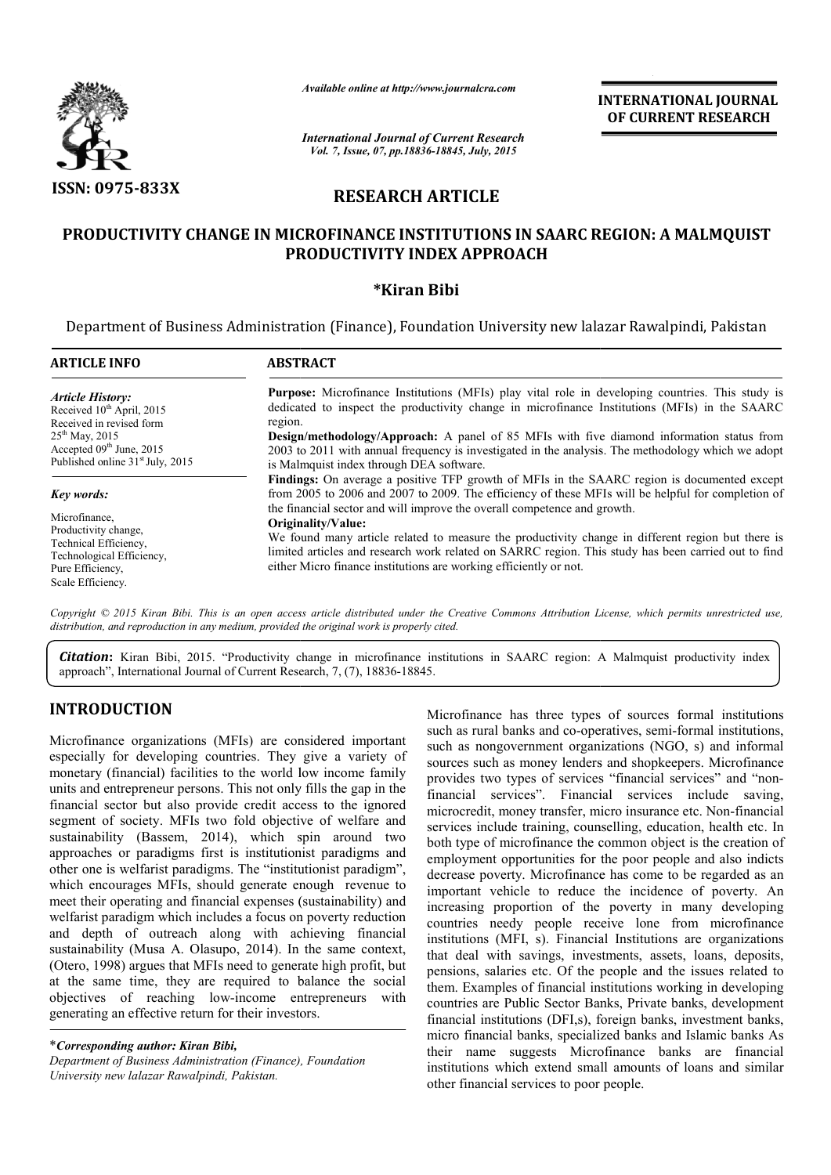

*Available online at http://www.journalcra.com*

INTERNATIONAL INTERNATIONAL JOURNAL OF CURRENT RESEARCH

*International Journal of Current Research Vol. 7, Issue, 07, pp.18836-18845, July, 2015*

# RESEARCH ARTICLE

# PRODUCTIVITY CHANGE IN MICROFINANCE INSTITUTIONS IN SAARC REGION: A MALMQUIST PRODUCTIVITY INDEX APPROACH

# \*Kiran Bibi

Department of Business Administration (Finance), Foundation University new lalazar Rawalpindi, Pakistan

| <b>ARTICLE INFO</b>                                                                                                                                                                               | <b>ABSTRACT</b>                                                                                                                                                                                                                                                                                                                                                                                                                                                                                                                                                                                                                                                                                                                                                                                                                                                                              |  |  |  |
|---------------------------------------------------------------------------------------------------------------------------------------------------------------------------------------------------|----------------------------------------------------------------------------------------------------------------------------------------------------------------------------------------------------------------------------------------------------------------------------------------------------------------------------------------------------------------------------------------------------------------------------------------------------------------------------------------------------------------------------------------------------------------------------------------------------------------------------------------------------------------------------------------------------------------------------------------------------------------------------------------------------------------------------------------------------------------------------------------------|--|--|--|
| <b>Article History:</b><br>Received 10 <sup>th</sup> April, 2015<br>Received in revised form<br>$25^{th}$ May, 2015<br>Accepted $09th$ June, 2015<br>Published online 31 <sup>st</sup> July, 2015 | <b>Purpose:</b> Microfinance Institutions (MFIs) play vital role in developing countries. This study is<br>dedicated to inspect the productivity change in microfinance Institutions (MFIs) in the SAARC<br>region.<br><b>Design/methodology/Approach:</b> A panel of 85 MFIs with five diamond information status from<br>2003 to 2011 with annual frequency is investigated in the analysis. The methodology which we adopt<br>is Malmquist index through DEA software.<br><b>Findings:</b> On average a positive TFP growth of MFIs in the SAARC region is documented except<br>from 2005 to 2006 and 2007 to 2009. The efficiency of these MFIs will be helpful for completion of<br>the financial sector and will improve the overall competence and growth.<br>Originality/Value:<br>We found many article related to measure the productivity change in different region but there is |  |  |  |
| <b>Key words:</b><br>Microfinance.<br>Productivity change.                                                                                                                                        |                                                                                                                                                                                                                                                                                                                                                                                                                                                                                                                                                                                                                                                                                                                                                                                                                                                                                              |  |  |  |
| Technical Efficiency,<br>Technological Efficiency,<br>Pure Efficiency.<br>Scale Efficiency.                                                                                                       | limited articles and research work related on SARRC region. This study has been carried out to find<br>either Micro finance institutions are working efficiently or not.                                                                                                                                                                                                                                                                                                                                                                                                                                                                                                                                                                                                                                                                                                                     |  |  |  |

Copyright © 2015 Kiran Bibi. This is an open access article distributed under the Creative Commons Attribution License, which permits unrestricted use, *distribution, and reproduction in any medium, provided the original work is properly cited.*

Citation: Kiran Bibi, 2015. "Productivity change in microfinance institutions in SAARC region: A Malmquist productivity index **Citation:** Kiran Bibi, 2015. "Productivity change in microfinance ir approach", International Journal of Current Research, 7, (7), 18836-18845.

# INTRODUCTION

Microfinance organizations (MFIs) are considered important especially for developing countries. They give a variety of monetary (financial) facilities to the world low income family units and entrepreneur persons. This not only fills the gap in the financial sector but also provide credit access to the ignored segment of society. MFIs two fold objective of welfare and sustainability (Bassem, 2014), which spin around two approaches or paradigms first is institutionist paradigms and other one is welfarist paradigms. The "institutionist paradigm", which encourages MFIs, should generate enough revenue to meet their operating and financial expenses (sustainability) and welfarist paradigm which includes a focus on poverty reduction and depth of outreach along with achieving financial sustainability (Musa A. Olasupo, 2014). In the same context, (Otero, 1998) argues that MFIs need to generate high profit, but at the same time, they are required to balance the social objectives of reaching low-income entrepreneurs with generating an effective return for their investors. al sector but also provide credit access to the ignored<br>at of society. MFIs two fold objective of welfare and<br>ability (Bassem, 2014), which spin around two<br>ches or paradigms first is institutionist paradigms and<br>ne is welf

\**Corresponding author: Kiran Bibi, Department of Business Administration (Finance), Foundation University new lalazar Rawalpindi, Pakistan.*

Microfinance has three types of sources formal institutions Microfinance has three types of sources formal institutions such as rural banks and co-operatives, semi-formal institutions, such as nongovernment organizations (NGO, s) and informal sources such as money lenders and shopkeepers. Microfinance provides two types of services "financial services" and "non financial services". Financial services include saving, financial services". Financial services include saving, microcredit, money transfer, micro insurance etc. Non-financial services include training, counselling, education, health etc. In both type of microfinance the common object is the creation of employment opportunities for the poor people and also indicts decrease poverty. Microfinance has come to be regarded as an important vehicle to reduce the incidence of poverty. An increasing proportion of the poverty in many developing countries needy people receive lone from microfinance institutions (MFI, s). Financial Institutions are organizations that deal with savings, investments, assets, loans, deposits, pensions, salaries etc. Of the people and the issues related to them. Examples of financial institutions working in developing countries are Public Sector Banks, Private banks, development financial institutions (DFI,s), foreign banks, investment banks micro financial banks, specialized banks and Islamic banks As their name suggests Microfinance banks are financial institutions which extend small amounts of loans and similar other financial services to poor people. vernment organizations (NGO, s) and informal<br>s money lenders and shopkeepers. Microfinance<br>ypes of services "financial services" and "nonservices include training, counselling, education, health etc. In<br>both type of microfinance the common object is the creation of<br>employment opportunities for the poor people and also indicts<br>decrease poverty. Microfinance increasing proportion of the poverty in many developing<br>countries needy people receive lone from microfinance<br>institutions (MFI, s). Financial Institutions are organizations<br>that deal with savings, investments, assets, loa pensions, salaries etc. Of the people and the issues related to them. Examples of financial institutions working in developing countries are Public Sector Banks, Private banks, development financial institutions (DFI,s), f **INTERNATIONAL JOURNAL CONTRACT CONTRACT CONTRACT CONTRACT CONTRACT CONTRACT CONTRACT CONTRACT CONTRACT CONTRACT CONTRACT CONTRACT CONTRACT CONTRACT CONTRACT CONTRACT CONTRACT CONTRACT CONTRACT CONTRACT CONTRACT CONTRACT**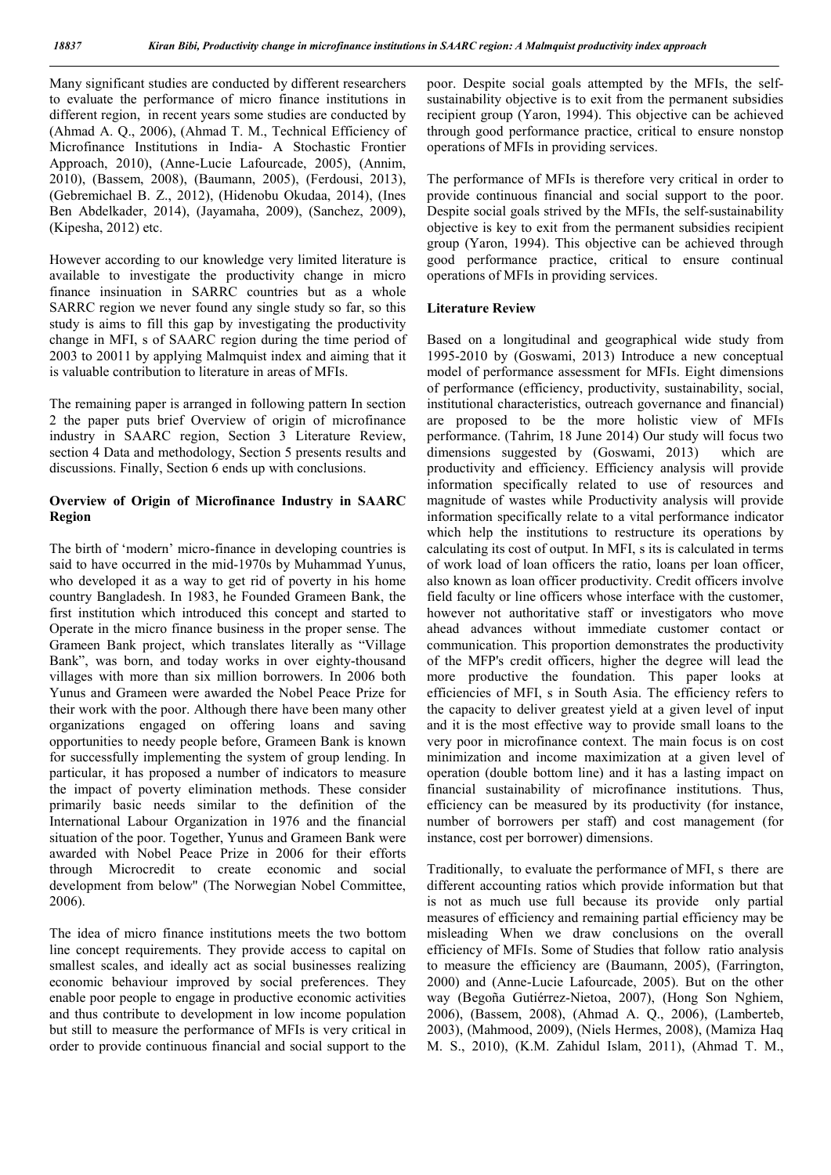Many significant studies are conducted by different researchers to evaluate the performance of micro finance institutions in different region, in recent years some studies are conducted by (Ahmad A. Q., 2006), (Ahmad T. M., Technical Efficiency of Microfinance Institutions in India- A Stochastic Frontier Approach, 2010), (Anne-Lucie Lafourcade, 2005), (Annim, 2010), (Bassem, 2008), (Baumann, 2005), (Ferdousi, 2013), (Gebremichael B. Z., 2012), (Hidenobu Okudaa, 2014), (Ines Ben Abdelkader, 2014), (Jayamaha, 2009), (Sanchez, 2009), (Kipesha, 2012) etc.

However according to our knowledge very limited literature is available to investigate the productivity change in micro finance insinuation in SARRC countries but as a whole SARRC region we never found any single study so far, so this study is aims to fill this gap by investigating the productivity change in MFI, s of SAARC region during the time period of 2003 to 20011 by applying Malmquist index and aiming that it is valuable contribution to literature in areas of MFIs.

The remaining paper is arranged in following pattern In section 2 the paper puts brief Overview of origin of microfinance industry in SAARC region, Section 3 Literature Review, section 4 Data and methodology, Section 5 presents results and discussions. Finally, Section 6 ends up with conclusions.

#### Overview of Origin of Microfinance Industry in SAARC Region

The birth of 'modern' micro-finance in developing countries is said to have occurred in the mid-1970s by Muhammad Yunus, who developed it as a way to get rid of poverty in his home country Bangladesh. In 1983, he Founded Grameen Bank, the first institution which introduced this concept and started to Operate in the micro finance business in the proper sense. The Grameen Bank project, which translates literally as "Village Bank", was born, and today works in over eighty-thousand villages with more than six million borrowers. In 2006 both Yunus and Grameen were awarded the Nobel Peace Prize for their work with the poor. Although there have been many other organizations engaged on offering loans and saving opportunities to needy people before, Grameen Bank is known for successfully implementing the system of group lending. In particular, it has proposed a number of indicators to measure the impact of poverty elimination methods. These consider primarily basic needs similar to the definition of the International Labour Organization in 1976 and the financial situation of the poor. Together, Yunus and Grameen Bank were awarded with Nobel Peace Prize in 2006 for their efforts through Microcredit to create economic and social development from below" (The Norwegian Nobel Committee, 2006).

The idea of micro finance institutions meets the two bottom line concept requirements. They provide access to capital on smallest scales, and ideally act as social businesses realizing economic behaviour improved by social preferences. They enable poor people to engage in productive economic activities and thus contribute to development in low income population but still to measure the performance of MFIs is very critical in order to provide continuous financial and social support to the

poor. Despite social goals attempted by the MFIs, the selfsustainability objective is to exit from the permanent subsidies recipient group (Yaron, 1994). This objective can be achieved through good performance practice, critical to ensure nonstop operations of MFIs in providing services.

The performance of MFIs is therefore very critical in order to provide continuous financial and social support to the poor. Despite social goals strived by the MFIs, the self-sustainability objective is key to exit from the permanent subsidies recipient group (Yaron, 1994). This objective can be achieved through good performance practice, critical to ensure continual operations of MFIs in providing services.

#### Literature Review

Based on a longitudinal and geographical wide study from 1995-2010 by (Goswami, 2013) Introduce a new conceptual model of performance assessment for MFIs. Eight dimensions of performance (efficiency, productivity, sustainability, social, institutional characteristics, outreach governance and financial) are proposed to be the more holistic view of MFIs performance. (Tahrim, 18 June 2014) Our study will focus two dimensions suggested by (Goswami, 2013) which are productivity and efficiency. Efficiency analysis will provide information specifically related to use of resources and magnitude of wastes while Productivity analysis will provide information specifically relate to a vital performance indicator which help the institutions to restructure its operations by calculating its cost of output. In MFI, s its is calculated in terms of work load of loan officers the ratio, loans per loan officer, also known as loan officer productivity. Credit officers involve field faculty or line officers whose interface with the customer, however not authoritative staff or investigators who move ahead advances without immediate customer contact or communication. This proportion demonstrates the productivity of the MFP's credit officers, higher the degree will lead the more productive the foundation. This paper looks at efficiencies of MFI, s in South Asia. The efficiency refers to the capacity to deliver greatest yield at a given level of input and it is the most effective way to provide small loans to the very poor in microfinance context. The main focus is on cost minimization and income maximization at a given level of operation (double bottom line) and it has a lasting impact on financial sustainability of microfinance institutions. Thus, efficiency can be measured by its productivity (for instance, number of borrowers per staff) and cost management (for instance, cost per borrower) dimensions.

Traditionally, to evaluate the performance of MFI, s there are different accounting ratios which provide information but that is not as much use full because its provide only partial measures of efficiency and remaining partial efficiency may be misleading When we draw conclusions on the overall efficiency of MFIs. Some of Studies that follow ratio analysis to measure the efficiency are (Baumann, 2005), (Farrington, 2000) and (Anne-Lucie Lafourcade, 2005). But on the other way (Begoña Gutiérrez-Nietoa, 2007), (Hong Son Nghiem, 2006), (Bassem, 2008), (Ahmad A. Q., 2006), (Lamberteb, 2003), (Mahmood, 2009), (Niels Hermes, 2008), (Mamiza Haq M. S., 2010), (K.M. Zahidul Islam, 2011), (Ahmad T. M.,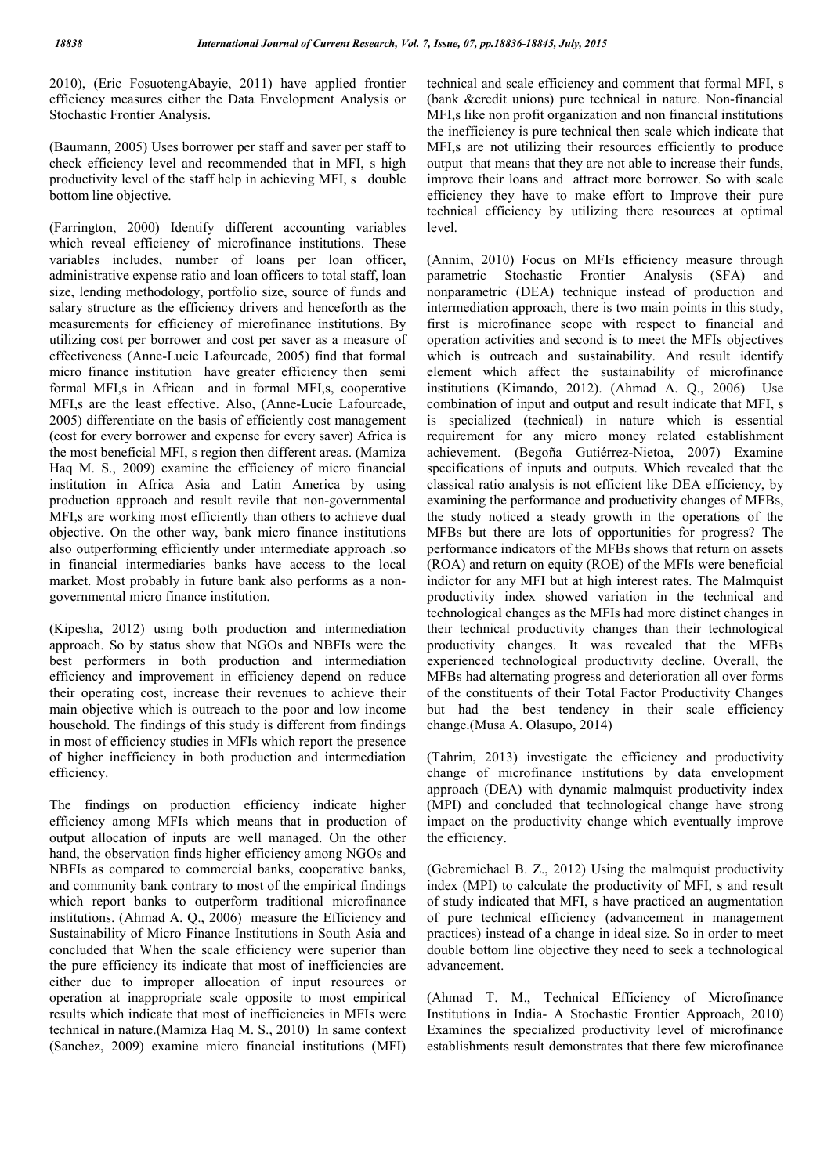2010), (Eric FosuotengAbayie, 2011) have applied frontier efficiency measures either the Data Envelopment Analysis or Stochastic Frontier Analysis.

(Baumann, 2005) Uses borrower per staff and saver per staff to check efficiency level and recommended that in MFI, s high productivity level of the staff help in achieving MFI, s double bottom line objective.

(Farrington, 2000) Identify different accounting variables which reveal efficiency of microfinance institutions. These variables includes, number of loans per loan officer, administrative expense ratio and loan officers to total staff, loan size, lending methodology, portfolio size, source of funds and salary structure as the efficiency drivers and henceforth as the measurements for efficiency of microfinance institutions. By utilizing cost per borrower and cost per saver as a measure of effectiveness (Anne-Lucie Lafourcade, 2005) find that formal micro finance institution have greater efficiency then semi formal MFI,s in African and in formal MFI,s, cooperative MFI,s are the least effective. Also, (Anne-Lucie Lafourcade, 2005) differentiate on the basis of efficiently cost management (cost for every borrower and expense for every saver) Africa is the most beneficial MFI, s region then different areas. (Mamiza Haq M. S., 2009) examine the efficiency of micro financial institution in Africa Asia and Latin America by using production approach and result revile that non-governmental MFI,s are working most efficiently than others to achieve dual objective. On the other way, bank micro finance institutions also outperforming efficiently under intermediate approach .so in financial intermediaries banks have access to the local market. Most probably in future bank also performs as a nongovernmental micro finance institution.

(Kipesha, 2012) using both production and intermediation approach. So by status show that NGOs and NBFIs were the best performers in both production and intermediation efficiency and improvement in efficiency depend on reduce their operating cost, increase their revenues to achieve their main objective which is outreach to the poor and low income household. The findings of this study is different from findings in most of efficiency studies in MFIs which report the presence of higher inefficiency in both production and intermediation efficiency.

The findings on production efficiency indicate higher efficiency among MFIs which means that in production of output allocation of inputs are well managed. On the other hand, the observation finds higher efficiency among NGOs and NBFIs as compared to commercial banks, cooperative banks, and community bank contrary to most of the empirical findings which report banks to outperform traditional microfinance institutions. (Ahmad A. Q., 2006) measure the Efficiency and Sustainability of Micro Finance Institutions in South Asia and concluded that When the scale efficiency were superior than the pure efficiency its indicate that most of inefficiencies are either due to improper allocation of input resources or operation at inappropriate scale opposite to most empirical results which indicate that most of inefficiencies in MFIs were technical in nature.(Mamiza Haq M. S., 2010) In same context (Sanchez, 2009) examine micro financial institutions (MFI)

technical and scale efficiency and comment that formal MFI, s (bank &credit unions) pure technical in nature. Non-financial MFI,s like non profit organization and non financial institutions the inefficiency is pure technical then scale which indicate that MFI,s are not utilizing their resources efficiently to produce output that means that they are not able to increase their funds, improve their loans and attract more borrower. So with scale efficiency they have to make effort to Improve their pure technical efficiency by utilizing there resources at optimal level.

(Annim, 2010) Focus on MFIs efficiency measure through parametric Stochastic Frontier Analysis (SFA) and nonparametric (DEA) technique instead of production and intermediation approach, there is two main points in this study, first is microfinance scope with respect to financial and operation activities and second is to meet the MFIs objectives which is outreach and sustainability. And result identify element which affect the sustainability of microfinance institutions (Kimando, 2012). (Ahmad A. Q., 2006) Use combination of input and output and result indicate that MFI, s is specialized (technical) in nature which is essential requirement for any micro money related establishment achievement. (Begoña Gutiérrez-Nietoa, 2007) Examine specifications of inputs and outputs. Which revealed that the classical ratio analysis is not efficient like DEA efficiency, by examining the performance and productivity changes of MFBs, the study noticed a steady growth in the operations of the MFBs but there are lots of opportunities for progress? The performance indicators of the MFBs shows that return on assets (ROA) and return on equity (ROE) of the MFIs were beneficial indictor for any MFI but at high interest rates. The Malmquist productivity index showed variation in the technical and technological changes as the MFIs had more distinct changes in their technical productivity changes than their technological productivity changes. It was revealed that the MFBs experienced technological productivity decline. Overall, the MFBs had alternating progress and deterioration all over forms of the constituents of their Total Factor Productivity Changes but had the best tendency in their scale efficiency change.(Musa A. Olasupo, 2014)

(Tahrim, 2013) investigate the efficiency and productivity change of microfinance institutions by data envelopment approach (DEA) with dynamic malmquist productivity index (MPI) and concluded that technological change have strong impact on the productivity change which eventually improve the efficiency.

(Gebremichael B. Z., 2012) Using the malmquist productivity index (MPI) to calculate the productivity of MFI, s and result of study indicated that MFI, s have practiced an augmentation of pure technical efficiency (advancement in management practices) instead of a change in ideal size. So in order to meet double bottom line objective they need to seek a technological advancement.

(Ahmad T. M., Technical Efficiency of Microfinance Institutions in India- A Stochastic Frontier Approach, 2010) Examines the specialized productivity level of microfinance establishments result demonstrates that there few microfinance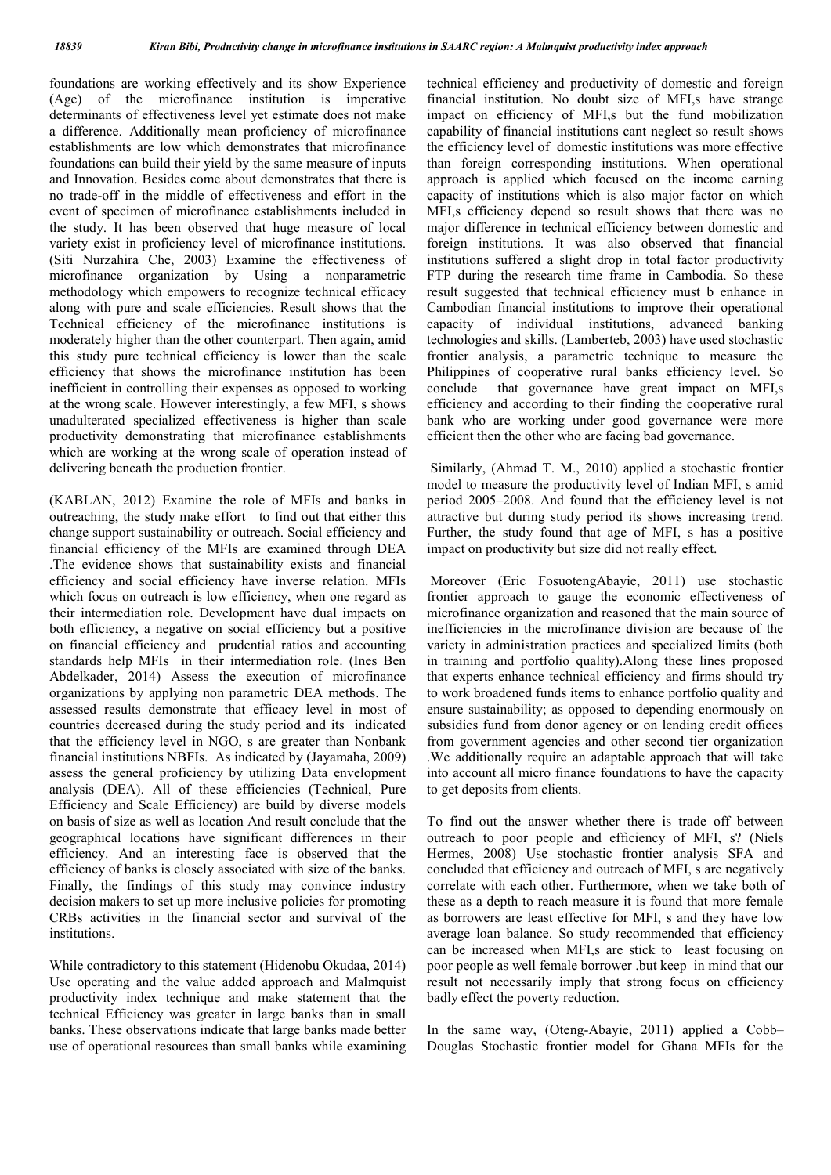foundations are working effectively and its show Experience (Age) of the microfinance institution is imperative determinants of effectiveness level yet estimate does not make a difference. Additionally mean proficiency of microfinance establishments are low which demonstrates that microfinance foundations can build their yield by the same measure of inputs and Innovation. Besides come about demonstrates that there is no trade-off in the middle of effectiveness and effort in the event of specimen of microfinance establishments included in the study. It has been observed that huge measure of local variety exist in proficiency level of microfinance institutions. (Siti Nurzahira Che, 2003) Examine the effectiveness of microfinance organization by Using a nonparametric methodology which empowers to recognize technical efficacy along with pure and scale efficiencies. Result shows that the Technical efficiency of the microfinance institutions is moderately higher than the other counterpart. Then again, amid this study pure technical efficiency is lower than the scale efficiency that shows the microfinance institution has been inefficient in controlling their expenses as opposed to working at the wrong scale. However interestingly, a few MFI, s shows unadulterated specialized effectiveness is higher than scale productivity demonstrating that microfinance establishments which are working at the wrong scale of operation instead of delivering beneath the production frontier.

(KABLAN, 2012) Examine the role of MFIs and banks in outreaching, the study make effort to find out that either this change support sustainability or outreach. Social efficiency and financial efficiency of the MFIs are examined through DEA .The evidence shows that sustainability exists and financial efficiency and social efficiency have inverse relation. MFIs which focus on outreach is low efficiency, when one regard as their intermediation role. Development have dual impacts on both efficiency, a negative on social efficiency but a positive on financial efficiency and prudential ratios and accounting standards help MFIs in their intermediation role. (Ines Ben Abdelkader, 2014) Assess the execution of microfinance organizations by applying non parametric DEA methods. The assessed results demonstrate that efficacy level in most of countries decreased during the study period and its indicated that the efficiency level in NGO, s are greater than Nonbank financial institutions NBFIs. As indicated by (Jayamaha, 2009) assess the general proficiency by utilizing Data envelopment analysis (DEA). All of these efficiencies (Technical, Pure Efficiency and Scale Efficiency) are build by diverse models on basis of size as well as location And result conclude that the geographical locations have significant differences in their efficiency. And an interesting face is observed that the efficiency of banks is closely associated with size of the banks. Finally, the findings of this study may convince industry decision makers to set up more inclusive policies for promoting CRBs activities in the financial sector and survival of the institutions.

While contradictory to this statement (Hidenobu Okudaa, 2014) Use operating and the value added approach and Malmquist productivity index technique and make statement that the technical Efficiency was greater in large banks than in small banks. These observations indicate that large banks made better use of operational resources than small banks while examining technical efficiency and productivity of domestic and foreign financial institution. No doubt size of MFI,s have strange impact on efficiency of MFI,s but the fund mobilization capability of financial institutions cant neglect so result shows the efficiency level of domestic institutions was more effective than foreign corresponding institutions. When operational approach is applied which focused on the income earning capacity of institutions which is also major factor on which MFI,s efficiency depend so result shows that there was no major difference in technical efficiency between domestic and foreign institutions. It was also observed that financial institutions suffered a slight drop in total factor productivity FTP during the research time frame in Cambodia. So these result suggested that technical efficiency must b enhance in Cambodian financial institutions to improve their operational capacity of individual institutions, advanced banking technologies and skills. (Lamberteb, 2003) have used stochastic frontier analysis, a parametric technique to measure the Philippines of cooperative rural banks efficiency level. So conclude that governance have great impact on MFI,s efficiency and according to their finding the cooperative rural bank who are working under good governance were more efficient then the other who are facing bad governance.

Similarly, (Ahmad T. M., 2010) applied a stochastic frontier model to measure the productivity level of Indian MFI, s amid period 2005–2008. And found that the efficiency level is not attractive but during study period its shows increasing trend. Further, the study found that age of MFI, s has a positive impact on productivity but size did not really effect.

Moreover (Eric FosuotengAbayie, 2011) use stochastic frontier approach to gauge the economic effectiveness of microfinance organization and reasoned that the main source of inefficiencies in the microfinance division are because of the variety in administration practices and specialized limits (both in training and portfolio quality).Along these lines proposed that experts enhance technical efficiency and firms should try to work broadened funds items to enhance portfolio quality and ensure sustainability; as opposed to depending enormously on subsidies fund from donor agency or on lending credit offices from government agencies and other second tier organization .We additionally require an adaptable approach that will take into account all micro finance foundations to have the capacity to get deposits from clients.

To find out the answer whether there is trade off between outreach to poor people and efficiency of MFI, s? (Niels Hermes, 2008) Use stochastic frontier analysis SFA and concluded that efficiency and outreach of MFI, s are negatively correlate with each other. Furthermore, when we take both of these as a depth to reach measure it is found that more female as borrowers are least effective for MFI, s and they have low average loan balance. So study recommended that efficiency can be increased when MFI,s are stick to least focusing on poor people as well female borrower .but keep in mind that our result not necessarily imply that strong focus on efficiency badly effect the poverty reduction.

In the same way, (Oteng-Abayie, 2011) applied a Cobb– Douglas Stochastic frontier model for Ghana MFIs for the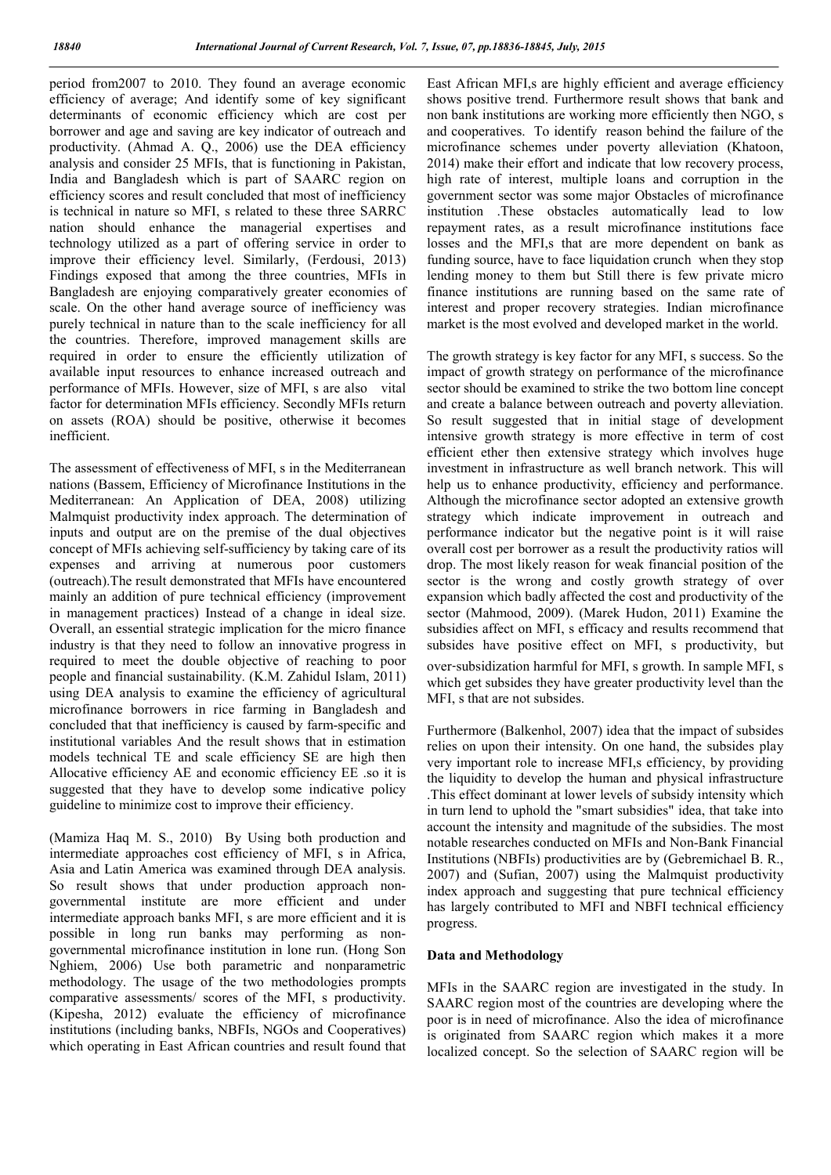period from2007 to 2010. They found an average economic efficiency of average; And identify some of key significant determinants of economic efficiency which are cost per borrower and age and saving are key indicator of outreach and productivity. (Ahmad A. Q., 2006) use the DEA efficiency analysis and consider 25 MFIs, that is functioning in Pakistan, India and Bangladesh which is part of SAARC region on efficiency scores and result concluded that most of inefficiency is technical in nature so MFI, s related to these three SARRC nation should enhance the managerial expertises and technology utilized as a part of offering service in order to improve their efficiency level. Similarly, (Ferdousi, 2013) Findings exposed that among the three countries, MFIs in Bangladesh are enjoying comparatively greater economies of scale. On the other hand average source of inefficiency was purely technical in nature than to the scale inefficiency for all the countries. Therefore, improved management skills are required in order to ensure the efficiently utilization of available input resources to enhance increased outreach and performance of MFIs. However, size of MFI, s are also vital factor for determination MFIs efficiency. Secondly MFIs return on assets (ROA) should be positive, otherwise it becomes inefficient.

The assessment of effectiveness of MFI, s in the Mediterranean nations (Bassem, Efficiency of Microfinance Institutions in the Mediterranean: An Application of DEA, 2008) utilizing Malmquist productivity index approach. The determination of inputs and output are on the premise of the dual objectives concept of MFIs achieving self-sufficiency by taking care of its expenses and arriving at numerous poor customers (outreach).The result demonstrated that MFIs have encountered mainly an addition of pure technical efficiency (improvement in management practices) Instead of a change in ideal size. Overall, an essential strategic implication for the micro finance industry is that they need to follow an innovative progress in required to meet the double objective of reaching to poor people and financial sustainability. (K.M. Zahidul Islam, 2011) using DEA analysis to examine the efficiency of agricultural microfinance borrowers in rice farming in Bangladesh and concluded that that inefficiency is caused by farm-specific and institutional variables And the result shows that in estimation models technical TE and scale efficiency SE are high then Allocative efficiency AE and economic efficiency EE .so it is suggested that they have to develop some indicative policy guideline to minimize cost to improve their efficiency.

(Mamiza Haq M. S., 2010) By Using both production and intermediate approaches cost efficiency of MFI, s in Africa, Asia and Latin America was examined through DEA analysis. So result shows that under production approach nongovernmental institute are more efficient and under intermediate approach banks MFI, s are more efficient and it is possible in long run banks may performing as nongovernmental microfinance institution in lone run. (Hong Son Nghiem, 2006) Use both parametric and nonparametric methodology. The usage of the two methodologies prompts comparative assessments/ scores of the MFI, s productivity. (Kipesha, 2012) evaluate the efficiency of microfinance institutions (including banks, NBFIs, NGOs and Cooperatives) which operating in East African countries and result found that East African MFI,s are highly efficient and average efficiency shows positive trend. Furthermore result shows that bank and non bank institutions are working more efficiently then NGO, s and cooperatives. To identify reason behind the failure of the microfinance schemes under poverty alleviation (Khatoon, 2014) make their effort and indicate that low recovery process, high rate of interest, multiple loans and corruption in the government sector was some major Obstacles of microfinance institution .These obstacles automatically lead to low repayment rates, as a result microfinance institutions face losses and the MFI,s that are more dependent on bank as funding source, have to face liquidation crunch when they stop lending money to them but Still there is few private micro finance institutions are running based on the same rate of interest and proper recovery strategies. Indian microfinance market is the most evolved and developed market in the world.

The growth strategy is key factor for any MFI, s success. So the impact of growth strategy on performance of the microfinance sector should be examined to strike the two bottom line concept and create a balance between outreach and poverty alleviation. So result suggested that in initial stage of development intensive growth strategy is more effective in term of cost efficient ether then extensive strategy which involves huge investment in infrastructure as well branch network. This will help us to enhance productivity, efficiency and performance. Although the microfinance sector adopted an extensive growth strategy which indicate improvement in outreach and performance indicator but the negative point is it will raise overall cost per borrower as a result the productivity ratios will drop. The most likely reason for weak financial position of the sector is the wrong and costly growth strategy of over expansion which badly affected the cost and productivity of the sector (Mahmood, 2009). (Marek Hudon, 2011) Examine the subsidies affect on MFI, s efficacy and results recommend that subsides have positive effect on MFI, s productivity, but over‐subsidization harmful for MFI, s growth. In sample MFI, s which get subsides they have greater productivity level than the MFI, s that are not subsides.

Furthermore (Balkenhol, 2007) idea that the impact of subsides relies on upon their intensity. On one hand, the subsides play very important role to increase MFI,s efficiency, by providing the liquidity to develop the human and physical infrastructure .This effect dominant at lower levels of subsidy intensity which in turn lend to uphold the "smart subsidies" idea, that take into account the intensity and magnitude of the subsidies. The most notable researches conducted on MFIs and Non-Bank Financial Institutions (NBFIs) productivities are by (Gebremichael B. R., 2007) and (Sufian, 2007) using the Malmquist productivity index approach and suggesting that pure technical efficiency has largely contributed to MFI and NBFI technical efficiency progress.

### Data and Methodology

MFIs in the SAARC region are investigated in the study. In SAARC region most of the countries are developing where the poor is in need of microfinance. Also the idea of microfinance is originated from SAARC region which makes it a more localized concept. So the selection of SAARC region will be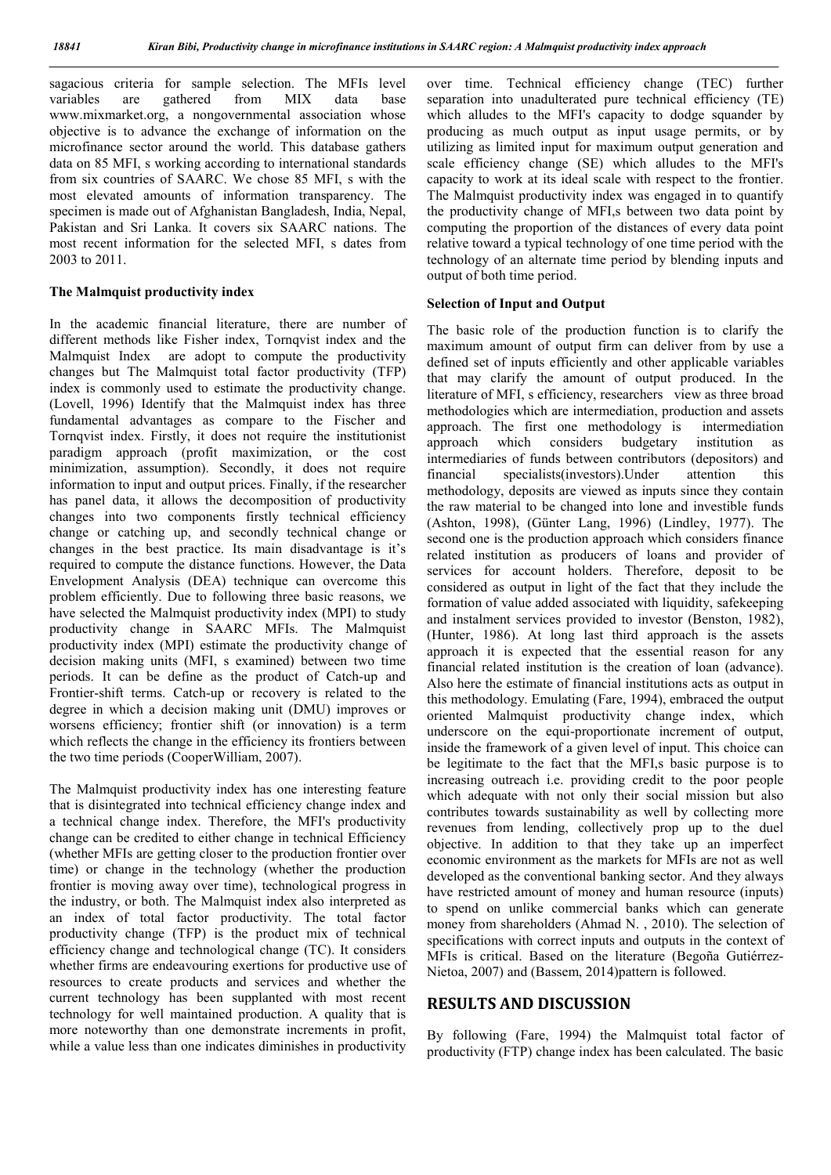sagacious criteria for sample selection. The MFIs level<br>variables are gathered from MIX data base variables are gathered from MIX data base www.mixmarket.org, a nongovernmental association whose objective is to advance the exchange of information on the microfinance sector around the world. This database gathers data on 85 MFI, s working according to international standards from six countries of SAARC. We chose 85 MFI, s with the most elevated amounts of information transparency. The specimen is made out of Afghanistan Bangladesh, India, Nepal, Pakistan and Sri Lanka. It covers six SAARC nations. The most recent information for the selected MFI, s dates from 2003 to 2011.

#### The Malmquist productivity index

In the academic financial literature, there are number of different methods like Fisher index, Tornqvist index and the Malmquist Index are adopt to compute the productivity changes but The Malmquist total factor productivity (TFP) index is commonly used to estimate the productivity change. (Lovell, 1996) Identify that the Malmquist index has three fundamental advantages as compare to the Fischer and Tornqvist index. Firstly, it does not require the institutionist paradigm approach (profit maximization, or the cost minimization, assumption). Secondly, it does not require information to input and output prices. Finally, if the researcher has panel data, it allows the decomposition of productivity changes into two components firstly technical efficiency change or catching up, and secondly technical change or changes in the best practice. Its main disadvantage is it's required to compute the distance functions. However, the Data Envelopment Analysis (DEA) technique can overcome this problem efficiently. Due to following three basic reasons, we have selected the Malmquist productivity index (MPI) to study productivity change in SAARC MFIs. The Malmquist productivity index (MPI) estimate the productivity change of decision making units (MFI, s examined) between two time periods. It can be define as the product of Catch-up and Frontier-shift terms. Catch-up or recovery is related to the degree in which a decision making unit (DMU) improves or worsens efficiency; frontier shift (or innovation) is a term which reflects the change in the efficiency its frontiers between the two time periods (CooperWilliam, 2007).

The Malmquist productivity index has one interesting feature that is disintegrated into technical efficiency change index and a technical change index. Therefore, the MFI's productivity change can be credited to either change in technical Efficiency (whether MFIs are getting closer to the production frontier over time) or change in the technology (whether the production frontier is moving away over time), technological progress in the industry, or both. The Malmquist index also interpreted as an index of total factor productivity. The total factor productivity change (TFP) is the product mix of technical efficiency change and technological change (TC). It considers whether firms are endeavouring exertions for productive use of resources to create products and services and whether the current technology has been supplanted with most recent technology for well maintained production. A quality that is more noteworthy than one demonstrate increments in profit, while a value less than one indicates diminishes in productivity

over time. Technical efficiency change (TEC) further separation into unadulterated pure technical efficiency (TE) which alludes to the MFI's capacity to dodge squander by producing as much output as input usage permits, or by utilizing as limited input for maximum output generation and scale efficiency change (SE) which alludes to the MFI's capacity to work at its ideal scale with respect to the frontier. The Malmquist productivity index was engaged in to quantify the productivity change of MFI,s between two data point by computing the proportion of the distances of every data point relative toward a typical technology of one time period with the technology of an alternate time period by blending inputs and output of both time period.

#### Selection of Input and Output

The basic role of the production function is to clarify the maximum amount of output firm can deliver from by use a defined set of inputs efficiently and other applicable variables that may clarify the amount of output produced. In the literature of MFI, s efficiency, researchers view as three broad methodologies which are intermediation, production and assets approach. The first one methodology is intermediation approach which considers budgetary institution as intermediaries of funds between contributors (depositors) and financial specialists(investors).Under attention this methodology, deposits are viewed as inputs since they contain the raw material to be changed into lone and investible funds (Ashton, 1998), (Günter Lang, 1996) (Lindley, 1977). The second one is the production approach which considers finance related institution as producers of loans and provider of services for account holders. Therefore, deposit to be considered as output in light of the fact that they include the formation of value added associated with liquidity, safekeeping and instalment services provided to investor (Benston, 1982), (Hunter, 1986). At long last third approach is the assets approach it is expected that the essential reason for any financial related institution is the creation of loan (advance). Also here the estimate of financial institutions acts as output in this methodology. Emulating (Fare, 1994), embraced the output oriented Malmquist productivity change index, which underscore on the equi-proportionate increment of output, inside the framework of a given level of input. This choice can be legitimate to the fact that the MFI,s basic purpose is to increasing outreach i.e. providing credit to the poor people which adequate with not only their social mission but also contributes towards sustainability as well by collecting more revenues from lending, collectively prop up to the duel objective. In addition to that they take up an imperfect economic environment as the markets for MFIs are not as well developed as the conventional banking sector. And they always have restricted amount of money and human resource (inputs) to spend on unlike commercial banks which can generate money from shareholders (Ahmad N. , 2010). The selection of specifications with correct inputs and outputs in the context of MFIs is critical. Based on the literature (Begoña Gutiérrez-Nietoa, 2007) and (Bassem, 2014)pattern is followed.

# RESULTS AND DISCUSSION

By following (Fare, 1994) the Malmquist total factor of productivity (FTP) change index has been calculated. The basic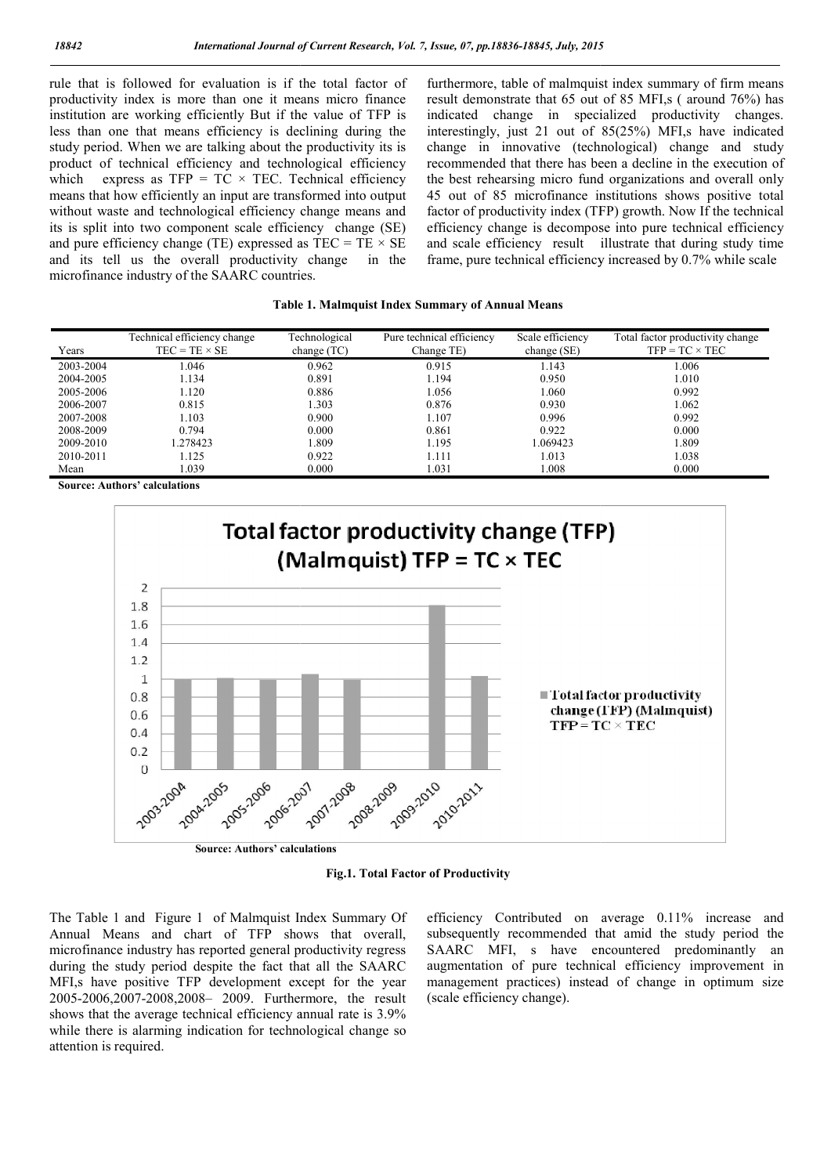rule that is followed for evaluation is if the total factor of productivity index is more than one it means micro finance institution are working efficiently But if the value of TFP is less than one that means efficiency is declining during the study period. When we are talking about the productivity its is product of technical efficiency and technological efficiency which express as  $TFP = TC \times TEC$ . Technical efficiency means that how efficiently an input are transformed into output without waste and technological efficiency change means and its is split into two component scale efficiency change (SE) and pure efficiency change (TE) expressed as  $TEC = TE \times SE$ and its tell us the overall productivity change in the microfinance industry of the SAARC countries.

furthermore, table of malmquist index summary of firm means result demonstrate that 65 out of 85 MFI,s ( around 76%) has indicated change in specialized productivity changes. interestingly, just 21 out of 85(25%) MFI,s have indicated change in innovative (technological) change and study recommended that there has been a decline in the execution of the best rehearsing micro fund organizations and overall only 45 out of 85 microfinance institutions shows positive total factor of productivity index (TFP) growth. Now If the technical efficiency change is decompose into pure technical efficiency and scale efficiency result illustrate that during study time frame, pure technical efficiency increased by 0.7% while scale It demonstrate that 65 out of 85 MFI,s (around 76%) has cated change in specialized productivity changes.<br>
restingly, just 21 out of 85(25%) MFI,s have indicated<br>
nge in innovative (technological) change and study<br>
mmended

#### Table 1. Malmquist Index Summary of Annual Means

| Years     | Technical efficiency change<br>$TEC = TE \times SE$ | Technological<br>change $(TC)$ | Pure technical efficiency<br>Change TE) | Scale efficiency<br>change (SE) | Total factor productivity change<br>$TFP = TC \times TEC$ |
|-----------|-----------------------------------------------------|--------------------------------|-----------------------------------------|---------------------------------|-----------------------------------------------------------|
| 2003-2004 | 1.046                                               | 0.962                          | 0.915                                   | 1.143                           | .006                                                      |
| 2004-2005 | 1.134                                               | 0.891                          | .194                                    | 0.950                           | 1.010                                                     |
| 2005-2006 | 1.120                                               | 0.886                          | 1.056                                   | 1.060                           | 0.992                                                     |
| 2006-2007 | 0.815                                               | 1.303                          | 0.876                                   | 0.930                           | 1.062                                                     |
| 2007-2008 | 1.103                                               | 0.900                          | 1.107                                   | 0.996                           | 0.992                                                     |
| 2008-2009 | 0.794                                               | 0.000                          | 0.861                                   | 0.922                           | 0.000                                                     |
| 2009-2010 | 1.278423                                            | 1.809                          | 195                                     | 1.069423                        | l.809                                                     |
| 2010-2011 | 1.125                                               | 0.922                          | l.111                                   | 1.013                           | 1.038                                                     |
| Mean      | 1.039                                               | 0.000                          | 1.031                                   | .008                            | 0.000                                                     |

Source: Authors' calculations



Fig.1. Total Factor of Productivity

The Table 1 and Figure 1 of Malmquist Index Summary Of Annual Means and chart of TFP shows that overall, microfinance industry has reported general productivity regress during the study period despite the fact that all the SAARC MFI, s have positive TFP development except for the year 2005-2006,2007-2008,2008– 2009. Furthermore, the result shows that the average technical efficiency annual rate is 3.9% while there is alarming indication for technological change so attention is required.

efficiency Contributed on average 0.11% increase and subsequently recommended that amid the study period the SAARC MFI, s have encountered predominantly an augmentation of pure technical efficiency improvement in management practices) instead of change in optimum size (scale efficiency change).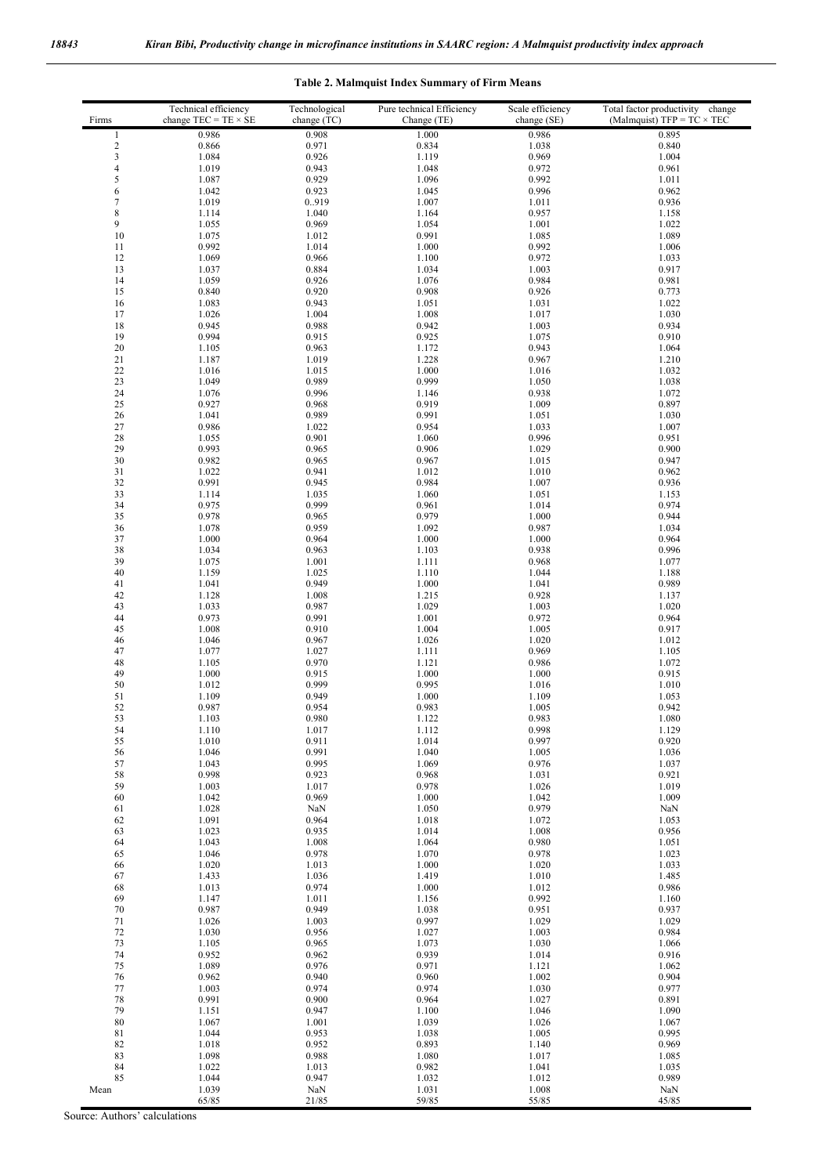| Firms            | Technical efficiency<br>change $TEC = TE \times SE$ | Technological<br>change (TC) | Pure technical Efficiency<br>Change (TE) | Scale efficiency<br>change (SE) | Total factor productivity<br>change<br>(Malmquist) TFP = $TC \times TEC$ |
|------------------|-----------------------------------------------------|------------------------------|------------------------------------------|---------------------------------|--------------------------------------------------------------------------|
| $\mathbf{1}$     | 0.986                                               | 0.908                        | 1.000                                    | 0.986                           | 0.895                                                                    |
| $\boldsymbol{2}$ | 0.866                                               | 0.971                        | 0.834                                    | 1.038                           | 0.840                                                                    |
| 3                | 1.084                                               | 0.926                        | 1.119                                    | 0.969                           | 1.004                                                                    |
| 4<br>5           | 1.019<br>1.087                                      | 0.943<br>0.929               | 1.048<br>1.096                           | 0.972<br>0.992                  | 0.961<br>1.011                                                           |
| 6                | 1.042                                               | 0.923                        | 1.045                                    | 0.996                           | 0.962                                                                    |
| $\boldsymbol{7}$ | 1.019                                               | 0.919                        | 1.007                                    | 1.011                           | 0.936                                                                    |
| 8                | 1.114                                               | 1.040                        | 1.164                                    | 0.957                           | 1.158                                                                    |
| 9                | 1.055                                               | 0.969                        | 1.054                                    | 1.001                           | 1.022                                                                    |
| 10               | 1.075                                               | 1.012                        | 0.991                                    | 1.085                           | 1.089                                                                    |
| 11<br>12         | 0.992<br>1.069                                      | 1.014<br>0.966               | 1.000<br>1.100                           | 0.992<br>0.972                  | 1.006<br>1.033                                                           |
| 13               | 1.037                                               | 0.884                        | 1.034                                    | 1.003                           | 0.917                                                                    |
| 14               | 1.059                                               | 0.926                        | 1.076                                    | 0.984                           | 0.981                                                                    |
| 15               | 0.840                                               | 0.920                        | 0.908                                    | 0.926                           | 0.773                                                                    |
| 16               | 1.083                                               | 0.943                        | 1.051                                    | 1.031                           | 1.022                                                                    |
| 17<br>18         | 1.026<br>0.945                                      | 1.004<br>0.988               | 1.008<br>0.942                           | 1.017                           | 1.030<br>0.934                                                           |
| 19               | 0.994                                               | 0.915                        | 0.925                                    | 1.003<br>1.075                  | 0.910                                                                    |
| 20               | 1.105                                               | 0.963                        | 1.172                                    | 0.943                           | 1.064                                                                    |
| 21               | 1.187                                               | 1.019                        | 1.228                                    | 0.967                           | 1.210                                                                    |
| 22               | 1.016                                               | 1.015                        | 1.000                                    | 1.016                           | 1.032                                                                    |
| 23               | 1.049                                               | 0.989                        | 0.999                                    | 1.050                           | 1.038                                                                    |
| 24<br>25         | 1.076<br>0.927                                      | 0.996<br>0.968               | 1.146<br>0.919                           | 0.938<br>1.009                  | 1.072<br>0.897                                                           |
| 26               | 1.041                                               | 0.989                        | 0.991                                    | 1.051                           | 1.030                                                                    |
| 27               | 0.986                                               | 1.022                        | 0.954                                    | 1.033                           | 1.007                                                                    |
| 28               | 1.055                                               | 0.901                        | 1.060                                    | 0.996                           | 0.951                                                                    |
| 29               | 0.993                                               | 0.965                        | 0.906                                    | 1.029                           | 0.900                                                                    |
| 30               | 0.982                                               | 0.965                        | 0.967                                    | 1.015                           | 0.947                                                                    |
| 31<br>32         | 1.022<br>0.991                                      | 0.941<br>0.945               | 1.012<br>0.984                           | 1.010<br>1.007                  | 0.962<br>0.936                                                           |
| 33               | 1.114                                               | 1.035                        | 1.060                                    | 1.051                           | 1.153                                                                    |
| 34               | 0.975                                               | 0.999                        | 0.961                                    | 1.014                           | 0.974                                                                    |
| 35               | 0.978                                               | 0.965                        | 0.979                                    | 1.000                           | 0.944                                                                    |
| 36               | 1.078                                               | 0.959                        | 1.092                                    | 0.987                           | 1.034                                                                    |
| 37               | 1.000                                               | 0.964                        | 1.000                                    | 1.000                           | 0.964                                                                    |
| 38<br>39         | 1.034<br>1.075                                      | 0.963<br>1.001               | 1.103<br>1.111                           | 0.938<br>0.968                  | 0.996<br>1.077                                                           |
| 40               | 1.159                                               | 1.025                        | 1.110                                    | 1.044                           | 1.188                                                                    |
| 41               | 1.041                                               | 0.949                        | 1.000                                    | 1.041                           | 0.989                                                                    |
| 42               | 1.128                                               | 1.008                        | 1.215                                    | 0.928                           | 1.137                                                                    |
| 43               | 1.033                                               | 0.987                        | 1.029                                    | 1.003                           | 1.020                                                                    |
| 44               | 0.973                                               | 0.991                        | 1.001                                    | 0.972                           | 0.964                                                                    |
| 45<br>46         | 1.008<br>1.046                                      | 0.910<br>0.967               | 1.004<br>1.026                           | 1.005<br>1.020                  | 0.917<br>1.012                                                           |
| 47               | 1.077                                               | 1.027                        | 1.111                                    | 0.969                           | 1.105                                                                    |
| 48               | 1.105                                               | 0.970                        | 1.121                                    | 0.986                           | 1.072                                                                    |
| 49               | 1.000                                               | 0.915                        | 1.000                                    | 1.000                           | 0.915                                                                    |
| 50               | 1.012                                               | 0.999                        | 0.995                                    | 1.016                           | 1.010                                                                    |
| 51<br>52         | 1.109<br>0.987                                      | 0.949<br>0.954               | 1.000<br>0.983                           | 1.109<br>1.005                  | 1.053<br>0.942                                                           |
| 53               | 1.103                                               | 0.980                        | 1.122                                    | 0.983                           | 1.080                                                                    |
| 54               | 1.110                                               | 1.017                        | 1.112                                    | 0.998                           | 1.129                                                                    |
| 55               | 1.010                                               | 0.911                        | 1.014                                    | 0.997                           | 0.920                                                                    |
| 56               | 1.046                                               | 0.991                        | 1.040                                    | 1.005                           | 1.036                                                                    |
| 57<br>58         | 1.043<br>0.998                                      | 0.995<br>0.923               | 1.069<br>0.968                           | 0.976<br>1.031                  | 1.037<br>0.921                                                           |
| 59               | 1.003                                               | 1.017                        | 0.978                                    | 1.026                           | 1.019                                                                    |
| 60               | 1.042                                               | 0.969                        | 1.000                                    | 1.042                           | 1.009                                                                    |
| 61               | 1.028                                               | NaN                          | 1.050                                    | 0.979                           | NaN                                                                      |
| 62               | 1.091                                               | 0.964                        | 1.018                                    | 1.072                           | 1.053                                                                    |
| 63               | 1.023                                               | 0.935                        | 1.014                                    | 1.008<br>0.980                  | 0.956                                                                    |
| 64<br>65         | 1.043<br>1.046                                      | 1.008<br>0.978               | 1.064<br>1.070                           | 0.978                           | 1.051<br>1.023                                                           |
| 66               | 1.020                                               | 1.013                        | 1.000                                    | 1.020                           | 1.033                                                                    |
| 67               | 1.433                                               | 1.036                        | 1.419                                    | 1.010                           | 1.485                                                                    |
| 68               | 1.013                                               | 0.974                        | 1.000                                    | 1.012                           | 0.986                                                                    |
| 69               | 1.147                                               | 1.011                        | 1.156                                    | 0.992                           | 1.160                                                                    |
| 70<br>71         | 0.987<br>1.026                                      | 0.949<br>1.003               | 1.038<br>0.997                           | 0.951<br>1.029                  | 0.937<br>1.029                                                           |
| 72               | 1.030                                               | 0.956                        | 1.027                                    | 1.003                           | 0.984                                                                    |
| 73               | 1.105                                               | 0.965                        | 1.073                                    | 1.030                           | 1.066                                                                    |
| 74               | 0.952                                               | 0.962                        | 0.939                                    | 1.014                           | 0.916                                                                    |
| 75               | 1.089                                               | 0.976                        | 0.971                                    | 1.121                           | 1.062                                                                    |
| 76               | 0.962                                               | 0.940<br>0.974               | 0.960                                    | 1.002                           | 0.904                                                                    |
| 77<br>78         | 1.003<br>0.991                                      | 0.900                        | 0.974<br>0.964                           | 1.030<br>1.027                  | 0.977<br>0.891                                                           |
| 79               | 1.151                                               | 0.947                        | 1.100                                    | 1.046                           | 1.090                                                                    |
| 80               | 1.067                                               | 1.001                        | 1.039                                    | 1.026                           | 1.067                                                                    |
| 81               | 1.044                                               | 0.953                        | 1.038                                    | 1.005                           | 0.995                                                                    |
| 82               | 1.018                                               | 0.952                        | 0.893                                    | 1.140                           | 0.969                                                                    |
| 83<br>84         | 1.098<br>1.022                                      | 0.988<br>1.013               | 1.080<br>0.982                           | 1.017                           | 1.085<br>1.035                                                           |
| 85               | 1.044                                               | 0.947                        | 1.032                                    | 1.041<br>1.012                  | 0.989                                                                    |
| Mean             | 1.039                                               | NaN                          | 1.031                                    | 1.008                           | NaN                                                                      |
|                  | 65/85                                               | 21/85                        | 59/85                                    | 55/85                           | 45/85                                                                    |

# Table 2. Malmquist Index Summary of Firm Means

Source: Authors' calculations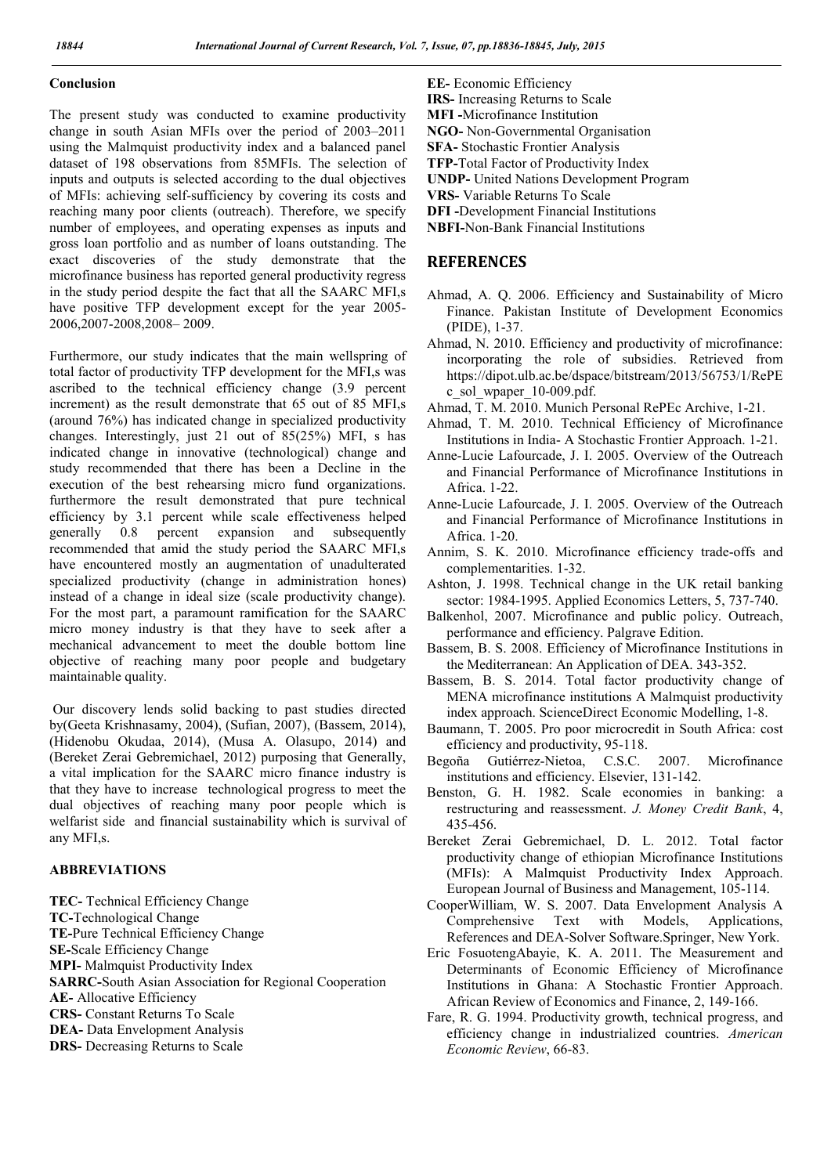#### Conclusion

The present study was conducted to examine productivity change in south Asian MFIs over the period of 2003–2011 using the Malmquist productivity index and a balanced panel dataset of 198 observations from 85MFIs. The selection of inputs and outputs is selected according to the dual objectives of MFIs: achieving self-sufficiency by covering its costs and reaching many poor clients (outreach). Therefore, we specify number of employees, and operating expenses as inputs and gross loan portfolio and as number of loans outstanding. The exact discoveries of the study demonstrate that the microfinance business has reported general productivity regress in the study period despite the fact that all the SAARC MFI,s have positive TFP development except for the year 2005- 2006,2007-2008,2008– 2009.

Furthermore, our study indicates that the main wellspring of total factor of productivity TFP development for the MFI,s was ascribed to the technical efficiency change (3.9 percent increment) as the result demonstrate that 65 out of 85 MFI,s (around 76%) has indicated change in specialized productivity changes. Interestingly, just 21 out of 85(25%) MFI, s has indicated change in innovative (technological) change and study recommended that there has been a Decline in the execution of the best rehearsing micro fund organizations. furthermore the result demonstrated that pure technical efficiency by 3.1 percent while scale effectiveness helped generally 0.8 percent expansion and subsequently recommended that amid the study period the SAARC MFI,s have encountered mostly an augmentation of unadulterated specialized productivity (change in administration hones) instead of a change in ideal size (scale productivity change). For the most part, a paramount ramification for the SAARC micro money industry is that they have to seek after a mechanical advancement to meet the double bottom line objective of reaching many poor people and budgetary maintainable quality.

Our discovery lends solid backing to past studies directed by(Geeta Krishnasamy, 2004), (Sufian, 2007), (Bassem, 2014), (Hidenobu Okudaa, 2014), (Musa A. Olasupo, 2014) and (Bereket Zerai Gebremichael, 2012) purposing that Generally, a vital implication for the SAARC micro finance industry is that they have to increase technological progress to meet the dual objectives of reaching many poor people which is welfarist side and financial sustainability which is survival of any MFI,s.

### ABBREVIATIONS

TEC- Technical Efficiency Change TC-Technological Change TE-Pure Technical Efficiency Change SE-Scale Efficiency Change MPI- Malmquist Productivity Index SARRC-South Asian Association for Regional Cooperation AE- Allocative Efficiency CRS- Constant Returns To Scale DEA- Data Envelopment Analysis DRS- Decreasing Returns to Scale

EE- Economic Efficiency IRS- Increasing Returns to Scale MFI -Microfinance Institution NGO- Non-Governmental Organisation

SFA- Stochastic Frontier Analysis

TFP-Total Factor of Productivity Index

UNDP- United Nations Development Program

VRS- Variable Returns To Scale

DFI -Development Financial Institutions

NBFI-Non-Bank Financial Institutions

#### **REFERENCES**

- Ahmad, A. Q. 2006. Efficiency and Sustainability of Micro Finance. Pakistan Institute of Development Economics (PIDE), 1-37.
- Ahmad, N. 2010. Efficiency and productivity of microfinance: incorporating the role of subsidies. Retrieved from https://dipot.ulb.ac.be/dspace/bitstream/2013/56753/1/RePE c\_sol\_wpaper\_10-009.pdf.

Ahmad, T. M. 2010. Munich Personal RePEc Archive, 1-21.

- Ahmad, T. M. 2010. Technical Efficiency of Microfinance Institutions in India- A Stochastic Frontier Approach. 1-21.
- Anne-Lucie Lafourcade, J. I. 2005. Overview of the Outreach and Financial Performance of Microfinance Institutions in Africa. 1-22.
- Anne-Lucie Lafourcade, J. I. 2005. Overview of the Outreach and Financial Performance of Microfinance Institutions in Africa. 1-20.
- Annim, S. K. 2010. Microfinance efficiency trade-offs and complementarities. 1-32.
- Ashton, J. 1998. Technical change in the UK retail banking sector: 1984-1995. Applied Economics Letters, 5, 737-740.
- Balkenhol, 2007. Microfinance and public policy. Outreach, performance and efficiency. Palgrave Edition.
- Bassem, B. S. 2008. Efficiency of Microfinance Institutions in the Mediterranean: An Application of DEA. 343-352.
- Bassem, B. S. 2014. Total factor productivity change of MENA microfinance institutions A Malmquist productivity index approach. ScienceDirect Economic Modelling, 1-8.
- Baumann, T. 2005. Pro poor microcredit in South Africa: cost efficiency and productivity, 95-118.
- Begoña Gutiérrez-Nietoa, C.S.C. 2007. Microfinance institutions and efficiency. Elsevier, 131-142.
- Benston, G. H. 1982. Scale economies in banking: a restructuring and reassessment. *J. Money Credit Bank*, 4, 435-456.
- Bereket Zerai Gebremichael, D. L. 2012. Total factor productivity change of ethiopian Microfinance Institutions (MFIs): A Malmquist Productivity Index Approach. European Journal of Business and Management, 105-114.
- CooperWilliam, W. S. 2007. Data Envelopment Analysis A Comprehensive Text with Models, Applications, References and DEA-Solver Software.Springer, New York.
- Eric FosuotengAbayie, K. A. 2011. The Measurement and Determinants of Economic Efficiency of Microfinance Institutions in Ghana: A Stochastic Frontier Approach. African Review of Economics and Finance, 2, 149-166.
- Fare, R. G. 1994. Productivity growth, technical progress, and efficiency change in industrialized countries. *American Economic Review*, 66-83.